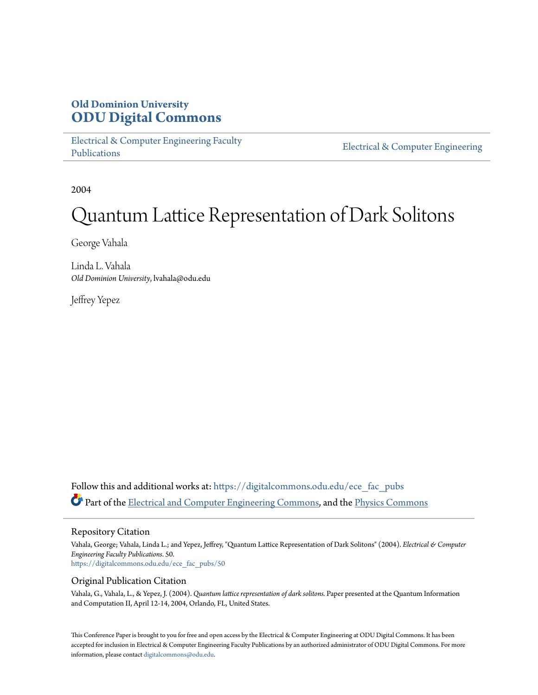# **Old Dominion University [ODU Digital Commons](https://digitalcommons.odu.edu?utm_source=digitalcommons.odu.edu%2Fece_fac_pubs%2F50&utm_medium=PDF&utm_campaign=PDFCoverPages)**

[Electrical & Computer Engineering Faculty](https://digitalcommons.odu.edu/ece_fac_pubs?utm_source=digitalcommons.odu.edu%2Fece_fac_pubs%2F50&utm_medium=PDF&utm_campaign=PDFCoverPages) [Publications](https://digitalcommons.odu.edu/ece_fac_pubs?utm_source=digitalcommons.odu.edu%2Fece_fac_pubs%2F50&utm_medium=PDF&utm_campaign=PDFCoverPages)

[Electrical & Computer Engineering](https://digitalcommons.odu.edu/ece?utm_source=digitalcommons.odu.edu%2Fece_fac_pubs%2F50&utm_medium=PDF&utm_campaign=PDFCoverPages)

2004

# Quantum Lattice Representation of Dark Solitons

George Vahala

Linda L. Vahala *Old Dominion University*, lvahala@odu.edu

Jeffrey Yepez

Follow this and additional works at: [https://digitalcommons.odu.edu/ece\\_fac\\_pubs](https://digitalcommons.odu.edu/ece_fac_pubs?utm_source=digitalcommons.odu.edu%2Fece_fac_pubs%2F50&utm_medium=PDF&utm_campaign=PDFCoverPages) Part of the [Electrical and Computer Engineering Commons](http://network.bepress.com/hgg/discipline/266?utm_source=digitalcommons.odu.edu%2Fece_fac_pubs%2F50&utm_medium=PDF&utm_campaign=PDFCoverPages), and the [Physics Commons](http://network.bepress.com/hgg/discipline/193?utm_source=digitalcommons.odu.edu%2Fece_fac_pubs%2F50&utm_medium=PDF&utm_campaign=PDFCoverPages)

### Repository Citation

Vahala, George; Vahala, Linda L.; and Yepez, Jeffrey, "Quantum Lattice Representation of Dark Solitons" (2004). *Electrical & Computer Engineering Faculty Publications*. 50. [https://digitalcommons.odu.edu/ece\\_fac\\_pubs/50](https://digitalcommons.odu.edu/ece_fac_pubs/50?utm_source=digitalcommons.odu.edu%2Fece_fac_pubs%2F50&utm_medium=PDF&utm_campaign=PDFCoverPages)

### Original Publication Citation

Vahala, G., Vahala, L., & Yepez, J. (2004). *Quantum lattice representation of dark solitons.* Paper presented at the Quantum Information and Computation II, April 12-14, 2004, Orlando, FL, United States.

This Conference Paper is brought to you for free and open access by the Electrical & Computer Engineering at ODU Digital Commons. It has been accepted for inclusion in Electrical & Computer Engineering Faculty Publications by an authorized administrator of ODU Digital Commons. For more information, please contact [digitalcommons@odu.edu](mailto:digitalcommons@odu.edu).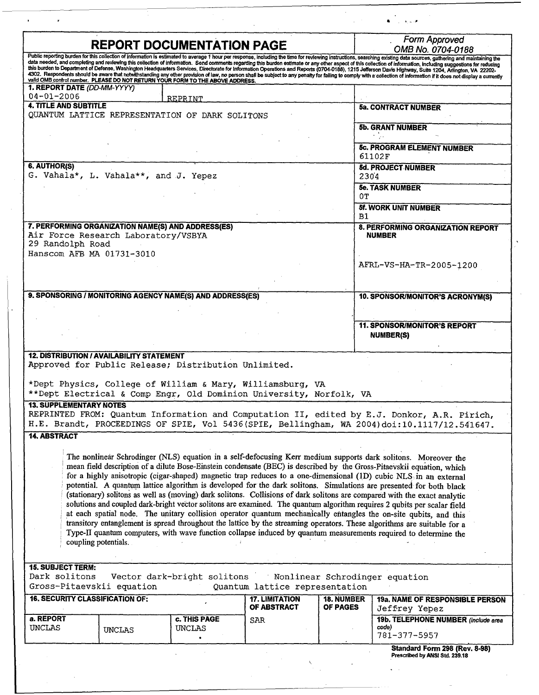| <b>REPORT DOCUMENTATION PAGE</b>                                                |                                                                     |                                                                                                                                                                                           |  |                                                                 | Form Approved                                                                                                                                                                                                                                                                                                                                                                                                                                                                                                                                                                                                                                                                                                                                                                                                                                                                                                                                                                                                                                                                                                    |  |
|---------------------------------------------------------------------------------|---------------------------------------------------------------------|-------------------------------------------------------------------------------------------------------------------------------------------------------------------------------------------|--|-----------------------------------------------------------------|------------------------------------------------------------------------------------------------------------------------------------------------------------------------------------------------------------------------------------------------------------------------------------------------------------------------------------------------------------------------------------------------------------------------------------------------------------------------------------------------------------------------------------------------------------------------------------------------------------------------------------------------------------------------------------------------------------------------------------------------------------------------------------------------------------------------------------------------------------------------------------------------------------------------------------------------------------------------------------------------------------------------------------------------------------------------------------------------------------------|--|
| 1. REPORT DATE (DD-MM-YYYY)                                                     |                                                                     | valid OMB control number. PLEASE DO NOT RETURN YOUR FORM TO THE ABOVE ADDRESS.                                                                                                            |  |                                                                 | OMB No. 0704-0188<br>Public reporting burden for this collection of information is estimated to average 1 hour per response, including the time for reviewing instructions, searching existing data sources, gathering and maintaining the<br>data needed, and completing and reviewing this collection of information. Send comments regarding this burden estimate or any other aspect of this collection of information, including suggestions for reducing<br>this burden to Department of Defense, Washington Headquarters Services, Directorate for Information Operations and Reports (0704-0188), 1215 Jefferson Davis Highway, Suite 1204, Arlington, VA 22202-<br>4302. Respondents should be aware that notwithstanding any other provision of law, no person shall be subject to any penalty for failing to comply with a collection of information if it does not display a currently                                                                                                                                                                                                               |  |
| $04 - 01 - 2006$                                                                |                                                                     | REPRINT                                                                                                                                                                                   |  |                                                                 |                                                                                                                                                                                                                                                                                                                                                                                                                                                                                                                                                                                                                                                                                                                                                                                                                                                                                                                                                                                                                                                                                                                  |  |
| <b>4. TITLE AND SUBTITLE</b><br>QUANTUM LATTICE REPRESENTATION OF DARK SOLITONS |                                                                     |                                                                                                                                                                                           |  |                                                                 | <b>5a. CONTRACT NUMBER</b>                                                                                                                                                                                                                                                                                                                                                                                                                                                                                                                                                                                                                                                                                                                                                                                                                                                                                                                                                                                                                                                                                       |  |
|                                                                                 |                                                                     |                                                                                                                                                                                           |  |                                                                 | <b>5b. GRANT NUMBER</b>                                                                                                                                                                                                                                                                                                                                                                                                                                                                                                                                                                                                                                                                                                                                                                                                                                                                                                                                                                                                                                                                                          |  |
|                                                                                 |                                                                     |                                                                                                                                                                                           |  |                                                                 | <b>5c. PROGRAM ELEMENT NUMBER</b><br>61102F                                                                                                                                                                                                                                                                                                                                                                                                                                                                                                                                                                                                                                                                                                                                                                                                                                                                                                                                                                                                                                                                      |  |
| 6. AUTHOR(S)                                                                    | G. Vahala*, L. Vahala**, and J. Yepez                               |                                                                                                                                                                                           |  | 2304                                                            | <b>5d. PROJECT NUMBER</b>                                                                                                                                                                                                                                                                                                                                                                                                                                                                                                                                                                                                                                                                                                                                                                                                                                                                                                                                                                                                                                                                                        |  |
|                                                                                 |                                                                     |                                                                                                                                                                                           |  |                                                                 | <b>5e. TASK NUMBER</b>                                                                                                                                                                                                                                                                                                                                                                                                                                                                                                                                                                                                                                                                                                                                                                                                                                                                                                                                                                                                                                                                                           |  |
|                                                                                 |                                                                     |                                                                                                                                                                                           |  | 0т                                                              | <b>5f. WORK UNIT NUMBER</b>                                                                                                                                                                                                                                                                                                                                                                                                                                                                                                                                                                                                                                                                                                                                                                                                                                                                                                                                                                                                                                                                                      |  |
|                                                                                 |                                                                     |                                                                                                                                                                                           |  | в1                                                              |                                                                                                                                                                                                                                                                                                                                                                                                                                                                                                                                                                                                                                                                                                                                                                                                                                                                                                                                                                                                                                                                                                                  |  |
| 29 Randolph Road                                                                | Air Force Research Laboratory/VSBYA                                 | 7. PERFORMING ORGANIZATION NAME(S) AND ADDRESS(ES)                                                                                                                                        |  |                                                                 | 8. PERFORMING ORGANIZATION REPORT<br><b>NUMBER</b>                                                                                                                                                                                                                                                                                                                                                                                                                                                                                                                                                                                                                                                                                                                                                                                                                                                                                                                                                                                                                                                               |  |
|                                                                                 | Hanscom AFB MA 01731-3010                                           |                                                                                                                                                                                           |  |                                                                 |                                                                                                                                                                                                                                                                                                                                                                                                                                                                                                                                                                                                                                                                                                                                                                                                                                                                                                                                                                                                                                                                                                                  |  |
|                                                                                 |                                                                     |                                                                                                                                                                                           |  |                                                                 | AFRL-VS-HA-TR-2005-1200                                                                                                                                                                                                                                                                                                                                                                                                                                                                                                                                                                                                                                                                                                                                                                                                                                                                                                                                                                                                                                                                                          |  |
|                                                                                 |                                                                     |                                                                                                                                                                                           |  |                                                                 |                                                                                                                                                                                                                                                                                                                                                                                                                                                                                                                                                                                                                                                                                                                                                                                                                                                                                                                                                                                                                                                                                                                  |  |
|                                                                                 |                                                                     | 9. SPONSORING / MONITORING AGENCY NAME(S) AND ADDRESS(ES)                                                                                                                                 |  |                                                                 | 10. SPONSOR/MONITOR'S ACRONYM(S)                                                                                                                                                                                                                                                                                                                                                                                                                                                                                                                                                                                                                                                                                                                                                                                                                                                                                                                                                                                                                                                                                 |  |
|                                                                                 |                                                                     |                                                                                                                                                                                           |  |                                                                 | <b>11. SPONSOR/MONITOR'S REPORT</b>                                                                                                                                                                                                                                                                                                                                                                                                                                                                                                                                                                                                                                                                                                                                                                                                                                                                                                                                                                                                                                                                              |  |
|                                                                                 |                                                                     |                                                                                                                                                                                           |  |                                                                 | <b>NUMBER(S)</b>                                                                                                                                                                                                                                                                                                                                                                                                                                                                                                                                                                                                                                                                                                                                                                                                                                                                                                                                                                                                                                                                                                 |  |
|                                                                                 | <b>12. DISTRIBUTION / AVAILABILITY STATEMENT</b>                    | Approved for Public Release; Distribution Unlimited.<br>*Dept Physics, College of William & Mary, Williamsburg, VA<br>**Dept Electrical & Comp Engr, Old Dominion University, Norfolk, VA |  |                                                                 |                                                                                                                                                                                                                                                                                                                                                                                                                                                                                                                                                                                                                                                                                                                                                                                                                                                                                                                                                                                                                                                                                                                  |  |
| <b>13. SUPPLEMENTARY NOTES</b>                                                  |                                                                     |                                                                                                                                                                                           |  |                                                                 | REPRINTED FROM: Quantum Information and Computation II, edited by E.J. Donkor, A.R. Pirich,<br>H.E. Brandt, PROCEEDINGS OF SPIE, Vol 5436 (SPIE, Bellingham, WA 2004) doi:10.1117/12.541647.                                                                                                                                                                                                                                                                                                                                                                                                                                                                                                                                                                                                                                                                                                                                                                                                                                                                                                                     |  |
| <b>14. ABSTRACT</b>                                                             |                                                                     |                                                                                                                                                                                           |  |                                                                 |                                                                                                                                                                                                                                                                                                                                                                                                                                                                                                                                                                                                                                                                                                                                                                                                                                                                                                                                                                                                                                                                                                                  |  |
|                                                                                 | coupling potentials.                                                |                                                                                                                                                                                           |  |                                                                 | The nonlinear Schrodinger (NLS) equation in a self-defocusing Kerr medium supports dark solitons. Moreover the<br>mean field description of a dilute Bose-Einstein condensate (BEC) is described by the Gross-Pitaevskii equation, which<br>for a highly anisotropic (cigar-shaped) magnetic trap reduces to a one-dimensional (1D) cubic NLS in an external<br>potential. A quantum lattice algorithm is developed for the dark solitons. Simulations are presented for both black<br>(stationary) solitons as well as (moving) dark solitons. Collisions of dark solitons are compared with the exact analytic<br>solutions and coupled dark-bright vector solitons are examined. The quantum algorithm requires 2 qubits per scalar field<br>at each spatial node. The unitary collision operator quantum mechanically entangles the on-site qubits, and this<br>transitory entanglement is spread throughout the lattice by the streaming operators. These algorithms are suitable for a<br>Type-II quantum computers, with wave function collapse induced by quantum measurements required to determine the |  |
| <b>15. SUBJECT TERM:</b><br>Dark solitons                                       |                                                                     | Vector dark-bright solitons                                                                                                                                                               |  |                                                                 | Nonlinear Schrodinger equation                                                                                                                                                                                                                                                                                                                                                                                                                                                                                                                                                                                                                                                                                                                                                                                                                                                                                                                                                                                                                                                                                   |  |
|                                                                                 | Gross-Pitaevskii equation<br><b>16. SECURITY CLASSIFICATION OF:</b> |                                                                                                                                                                                           |  | Quantum lattice representation<br><b>18. NUMBER</b><br>OF PAGES | <b>19a. NAME OF RESPONSIBLE PERSON</b>                                                                                                                                                                                                                                                                                                                                                                                                                                                                                                                                                                                                                                                                                                                                                                                                                                                                                                                                                                                                                                                                           |  |
|                                                                                 |                                                                     | OF ABSTRACT<br>c. THIS PAGE<br>SAR                                                                                                                                                        |  |                                                                 | Jeffrey Yepez                                                                                                                                                                                                                                                                                                                                                                                                                                                                                                                                                                                                                                                                                                                                                                                                                                                                                                                                                                                                                                                                                                    |  |
| a. REPORT                                                                       |                                                                     |                                                                                                                                                                                           |  |                                                                 | 19b. TELEPHONE NUMBER (include area                                                                                                                                                                                                                                                                                                                                                                                                                                                                                                                                                                                                                                                                                                                                                                                                                                                                                                                                                                                                                                                                              |  |
| <b>UNCLAS</b>                                                                   | <b>UNCLAS</b>                                                       | <b>UNCLAS</b>                                                                                                                                                                             |  |                                                                 | code)<br>781-377-5957                                                                                                                                                                                                                                                                                                                                                                                                                                                                                                                                                                                                                                                                                                                                                                                                                                                                                                                                                                                                                                                                                            |  |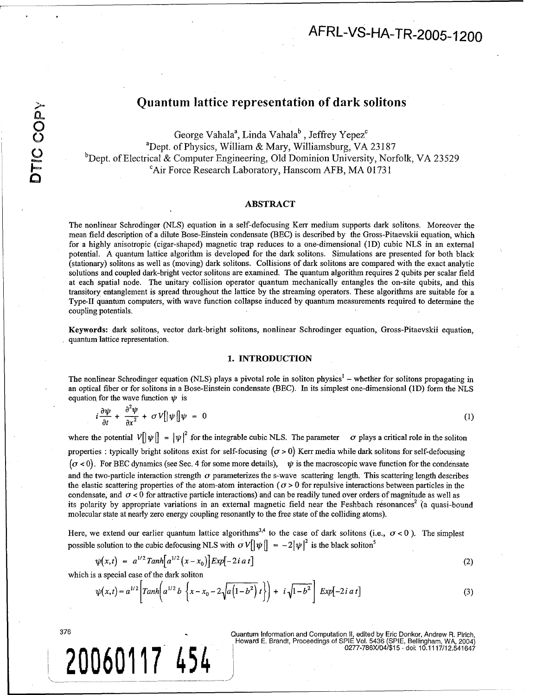# Quantum lattice representation of dark solitons

George Vahala<sup>a</sup>, Linda Vahala<sup>b</sup>, Jeffrey Yepez<sup>c</sup> <sup>a</sup>Dept. of Physics, William & Mary, Williamsburg, VA 23187  $b$ Dept. of Electrical & Computer Engineering, Old Dominion University, Norfolk, VA 23529 <sup>c</sup>Air Force Research Laboratory, Hanscom AFB, MA 01731

### ABSTRACT

The nonlinear Schrodinger (NLS) equation in a self-defocusing Kerr medium supports dark solitons. Moreover the mean field description of a dilute Bose-Einstein condensate (BEC) is described by the Gross-Pitaevskii equation, which for a highly anisotropic (cigar-shaped) magnetic trap reduces to a one-dimensional (1D) cubic NLS in an external potential. A quantum lattice algorithm is developed for the dark solitons. Simulations are presented for both black (stationary) solitons as well as (moving) dark solitons. Collisions of dark solitons are compared with the exact analytic solutions and coupled dark-bright vector solitons are examined. The quantum algorithm requires 2 qubits per scalar field at each spatial node. The unitary collision operator quantum mechanically entangles the on-site qubits, and this transitory entanglement is spread throughout the lattice by the streaming operators. These algorithms are suitable for a Type-Il quantum computers, with wave function collapse induced by quantum measurements required to determine the coupling potentials.

Keywords: dark solitons, vector dark-bright solitons, nonlinear Schrodinger equation, Gross-Pitaevskii equation, quantum lattice representation.

#### 1. **INTRODUCTION**

The nonlinear Schrodinger equation (NLS) plays a pivotal role in soliton physics<sup>1</sup> – whether for solitons propagating in an optical fiber or for solitons in a Bose-Einstein condensate (BEC). In its simplest one-dimensional (1D) form the NLS equation for the wave function  $\psi$  is

$$
i\frac{\partial\psi}{\partial t} + \frac{\partial^2\psi}{\partial x^2} + \sigma V[|\psi|]\psi = 0 \tag{1}
$$

where the potential  $V[\psi] = |\psi|^2$  for the integrable cubic NLS. The parameter  $\sigma$  plays a critical role in the soliton properties : typically bright solitons exist for self-focusing  $(\sigma > 0)$  Kerr media while dark solitons for self-defocusing  $(\sigma < 0)$ . For BEC dynamics (see Sec. 4 for some more details),  $\psi$  is the macroscopic wave function for the condensate and the two-particle interaction strength  $\sigma$  parameterizes the s-wave scattering length. This scattering length describes the elastic scattering properties of the atom-atom interaction ( $\sigma > 0$  for repulsive interactions between particles in the condensate, and  $\sigma$  < 0 for attractive particle interactions) and can be readily tuned over orders of magnitude as well as its polarity by appropriate variations in an external magnetic field near the Feshbach resonances<sup>2</sup> (a quasi-bound molecular state at nearly zero energy coupling resonantly to the free state of the colliding atoms).

Here, we extend our earlier quantum lattice algorithms<sup>3,4</sup> to the case of dark solitons (i.e.,  $\sigma$  < 0). The simples possible solution to the cubic defocusing NLS with  $\sigma V[\psi] = -2|\psi|^2$  is the black soliton<sup>5</sup>

$$
\psi(x,t) = a^{1/2} \t{Tanh}[a^{1/2}(x-x_0)] \t{Exp}[-2i \t{a} t] \t{(2)}
$$

which is a special case of the dark soliton

$$
\psi(x,t) = a^{1/2} \left[ \t{Tanh\left(a^{1/2} b \left\{x - x_0 - 2\sqrt{a \left(1 - b^2\right)} t\right\}\right) + i \sqrt{1 - b^2} \right] \, Exp\left[-2i \, a \, t\right] \tag{3}
$$

Guantum Information and Computation II, edited by Eric Donkor, Andrew R. Pirich<br>Howard E. Brandt, Proceedings of SPIE Vol. 5436 (SPIE, Bellingham, WA, 2004)<br>0277-786X/04/\$15. doi: 10.1117/12.541647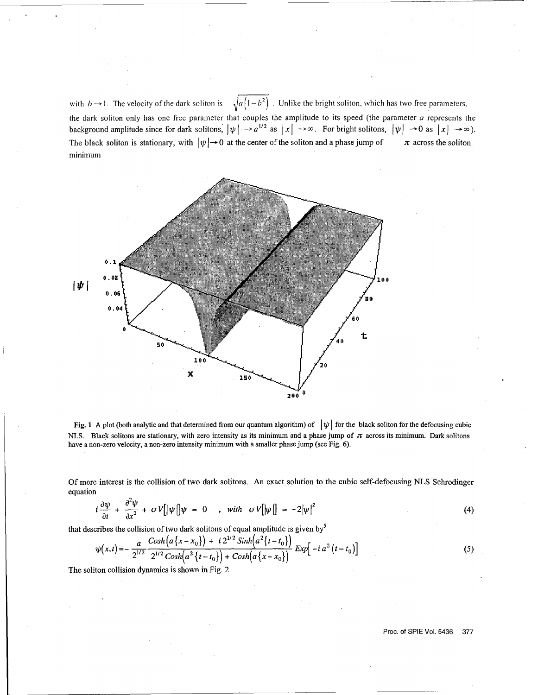with  $b \to 1$ . The velocity of the dark soliton is  $\sqrt{a(1-b^2)}$ . Unlike the bright soliton, which has two free parameters, the dark soliton only has one free parameter that couples the amplitude to its speed (the parameter  $a$  represents the background amplitude since for dark solitons,  $|\psi| \to a^{1/2}$  as  $|x| \to \infty$ . For bright solitons,  $|\psi| \to 0$  as  $|x| \to \infty$ ) The black soliton is stationary, with  $|\psi| \rightarrow 0$  at the center of the soliton and a phase jump of  $\pi$  across the soliton minimum



Fig. 1 A plot (both analytic and that determined from our quantum algorithm) of  $|\psi|$  for the black soliton for the defocusing cubic NLS. Black solitons are stationary, with zero intensity as its minimum and a phase jump of  $\pi$  across its minimum. Dark solitons have a non-zero velocity, a non-zero intensity minimum with a smaller phase jump (see Fig. 6).

Of more interest is the collision of two dark solitons. An exact solution to the cubic self-defocusing NLS Schrodinger equation

$$
i\frac{\partial\psi}{\partial t} + \frac{\partial^2\psi}{\partial x^2} + \sigma V[|\psi|] \psi = 0 \quad , \quad \text{with} \quad \sigma V[|\psi|] = -2|\psi|^2 \tag{4}
$$

that describes the collision of two dark solitons of equal amplitude is given by<sup>5</sup>

$$
\psi(x,t) = -\frac{a}{2^{1/2}} \frac{\cosh(a\{x-x_0\}) + i2^{1/2} \sinh(a^2\{t-t_0\})}{2^{1/2} \cosh(a^2\{t-t_0\}) + \cosh(a\{x-x_0\})} \exp[-ia^2(t-t_0)]
$$
\n(5)

The soliton collision dynamics is shown in Fig. 2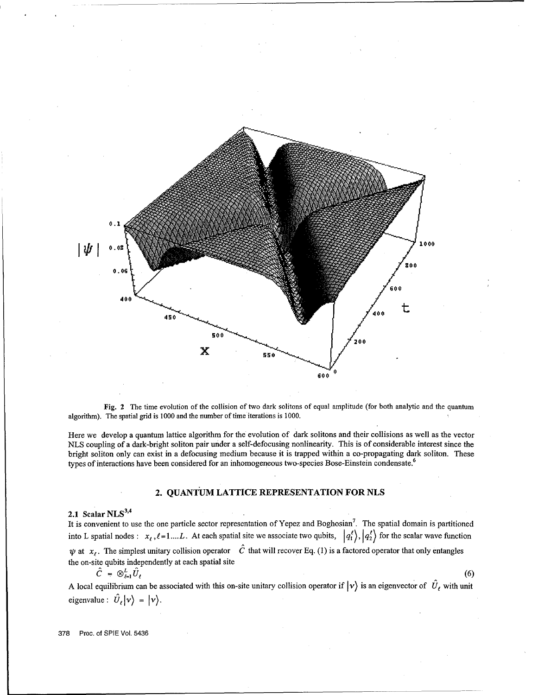

Fig. 2 The time evolution of the collision of two dark solitons of equal amplitude (for both analytic and the quantum algorithm). The spatial grid is 1000 and the number of time iterations is 1000.

Here we develop a quantum lattice algorithm for the evolution of dark solitons and their collisions as well as the vector NLS coupling of a dark-bright soliton pair under a self-defocusing nonlinearity. This is of considerable interest since the bright soliton only can exist in a defocusing medium because it is trapped within a co-propagating dark soliton. These types of interactions have been considered for an inhomogeneous two-species Bose-Einstein condensate.<sup>6</sup>

## 2. **QUANTUM LATTICE** REPRESENTATION FOR **NLS**

# 2.1 Scalar **NLS<sup>3</sup> ' 4**

It is convenient to use the one particle sector representation of Yepez and Boghosian<sup>7</sup>. The spatial domain is partitioned into L spatial nodes:  $x_i$ ,  $\ell = 1,...L$ . At each spatial site we associate two qubits,  $|q_1^{\ell}\rangle$ ,  $|q_2^{\ell}\rangle$  for the scalar wave function  $\psi$  at  $x_i$ . The simplest unitary collision operator  $\hat{C}$  that will recover Eq. (1) is a factored operator that only entangles the on-site qubits independently at each spatial site

$$
\hat{C} = \otimes_{\ell=1}^L \hat{U}_{\ell}
$$

A local equilibrium can be associated with this on-site unitary collision operator if  $|v\rangle$  is an eigenvector of  $\hat{U}_\ell$  with unit eigenvalue:  $\hat{U}_{\ell} | \nu \rangle = | \nu \rangle$ .

 $(6)$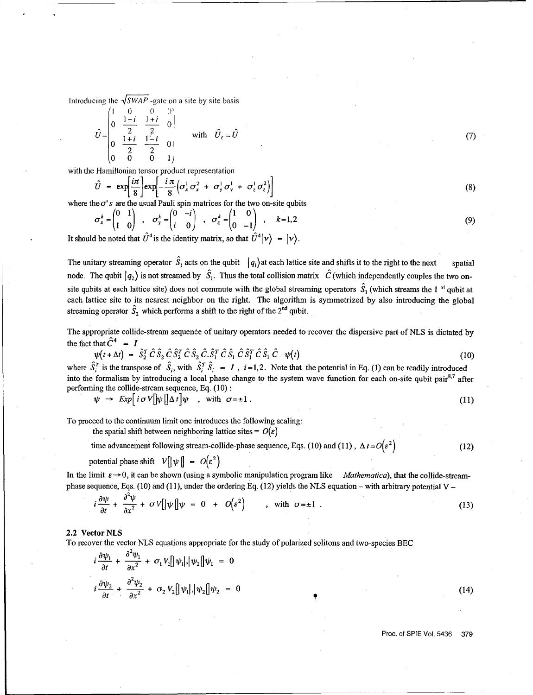Introducing the  $\sqrt{SWAP}$  -gate on a site by site basis

$$
\hat{U} = \begin{pmatrix}\n1 & 0 & 0 & 0 \\
0 & \frac{1-i}{2} & \frac{1+i}{2} & 0 \\
0 & \frac{1+i}{2} & \frac{1-i}{2} & 0 \\
0 & 0 & 0 & 1\n\end{pmatrix} \text{ with } \hat{U}_f = \hat{U}
$$
\n(7)

with the Hamiltonian tensor product representation

$$
\hat{U} = \exp\left[\frac{i\pi}{8}\right] \exp\left[-\frac{i\pi}{8} \left(\sigma_x^1 \sigma_x^2 + \sigma_y^1 \sigma_y^1 + \sigma_z^1 \sigma_z^2\right)\right]
$$
\n(8)

where the  $\sigma'$  s are the usual Pauli spin matrices for the two on-site qubits

$$
\sigma_x^k = \begin{pmatrix} 0 & 1 \\ 1 & 0 \end{pmatrix} , \quad \sigma_y^k = \begin{pmatrix} 0 & -i \\ i & 0 \end{pmatrix} , \quad \sigma_z^k = \begin{pmatrix} 1 & 0 \\ 0 & -1 \end{pmatrix} , \quad k = 1, 2
$$
 (9)

It should be noted that  $\hat{U}^4$  is the identity matrix, so that  $\hat{U}^4|\nu\rangle = |\nu\rangle$ .

The unitary streaming operator  $\hat{S}_1$  acts on the qubit  $|q_1\rangle$  at each lattice site and shifts it to the right to the next spatial node. The qubit  $|q_2\rangle$  is not streamed by  $\hat{S}_1$ . Thus the total collision matrix  $\hat{C}$  (which independently couples the two onsite qubits at each lattice site) does not commute with the global streaming operators  $\hat{S}_1$  (which streams the 1<sup>st</sup> qubit at each lattice site to its nearest neighbor on the right. The algorithm is symmetrized by also introducing the global streaming operator  $\hat{S}_2$  which performs a shift to the right of the 2<sup>nd</sup> qubit.

The appropriate collide-stream sequence of unitary operators needed to recover the dispersive part of NLS is dictated by the fact that  $\hat{C}^4 = I$ 

$$
\psi(t+\Delta t) = \hat{S}_2^T \hat{C} \hat{S}_2 \hat{C} \hat{S}_2^T \hat{C} \hat{S}_2 \hat{C} \hat{S}_1^T \hat{C} \hat{S}_1 \hat{C} \hat{S}_1^T \hat{C} \hat{S}_1 \hat{C} \psi(t)
$$
\n(10)

where  $\hat{S}_i^T$  is the transpose of  $\hat{S}_i$ , with  $\hat{S}_i^T \hat{S}_i = I$ ,  $i = 1, 2$ . Note that the potential in Eq. (1) can be readily introduced into the formalism by introducing a local phase change to the system wave function for each on-site qubit pair<sup>8,7</sup> after performing the collide-stream sequence, Eq. (10) **:**

$$
\psi \to \mathit{Exp}\big[i\,\sigma\,V\big[\psi\,\big]\Delta\,t\big]\psi \quad , \text{ with } \sigma = \pm 1 \,. \tag{11}
$$

To proceed to the continuum limit one introduces the following scaling:

the spatial shift between neighboring lattice sites =  $O(\varepsilon)$ 

time advancement following stream-collide-phase sequence, Eqs. (10) and (11),  $\Delta t = O(\varepsilon^2)$  (12)

potential phase shift  $V[\psi] = O(\varepsilon^2)$ 

In the limit  $\varepsilon \rightarrow 0$ , it can be shown (using a symbolic manipulation program like *Mathematica*), that the collide-streamphase sequence, Eqs. (10) and (11), under the ordering Eq. (12) yields the NLS equation – with arbitrary potential V -

$$
i\frac{\partial \psi}{\partial t} + \frac{\partial^2 \psi}{\partial x^2} + \sigma V \left[ \left| \psi \right| \right] \psi = 0 + O(\varepsilon^2) \qquad , \text{ with } \sigma = \pm 1 . \tag{13}
$$

#### 2.2 Vector NLS

To recover the vector NLS equations appropriate for the study of polarized solitons and two-species **BEC**

$$
i \frac{\partial \psi_1}{\partial t} + \frac{\partial^2 \psi_1}{\partial x^2} + \sigma_1 V_1 [\psi_1], |\psi_2|] \psi_1 = 0
$$
  

$$
i \frac{\partial \psi_2}{\partial t} + \frac{\partial^2 \psi_2}{\partial x^2} + \sigma_2 V_2 [\psi_1], |\psi_2|] \psi_2 = 0
$$

Proc. of **SPIE** Vol. **5436 379**

 $(14)$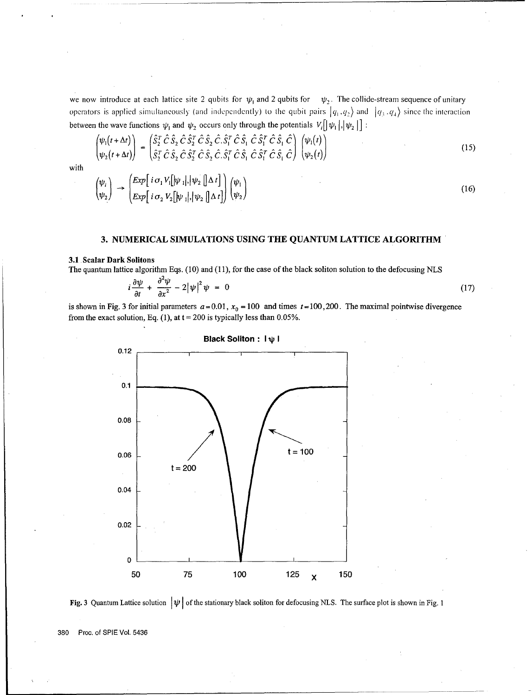we now introduce at each lattice site 2 qubits for  $\psi_1$  and 2 qubits for  $\psi_2$ . The collide-stream sequence of unitary operators is applied simultaneously (and independently) to the qubit pairs  $|q_1, q_2\rangle$  and  $|q_3, q_4\rangle$  since the interaction between the wave functions  $\psi_1$  and  $\psi_2$  occurs only through the potentials  $V_i[\psi_1], [\psi_2]$ :

$$
\begin{pmatrix} \psi_1(t+\Delta t) \\ \psi_2(t+\Delta t) \end{pmatrix} = \begin{pmatrix} \hat{S}_2^T \hat{C} \hat{S}_2 \hat{C} \hat{S}_2^T \hat{C} \hat{S}_2 \hat{C} \hat{S}_1^T \hat{C} \hat{S}_1 \hat{C} \hat{S}_1^T \hat{C} \hat{S}_1 \hat{C} \hat{S}_1^T \hat{C} \hat{S}_1 \hat{C} \end{pmatrix} \begin{pmatrix} \psi_1(t) \\ \psi_2(t) \end{pmatrix}
$$
\n(15)

with

$$
\begin{pmatrix} \psi_i \\ \psi_2 \end{pmatrix} \rightarrow \begin{pmatrix} Exp\begin{bmatrix} i & \sigma_1 V_1[\psi_1], [\psi_2[[\Delta t]] \\ Exp\begin{bmatrix} i & \sigma_2 V_2[\psi_1], [\psi_2[[\Delta t]] \end{bmatrix} \end{pmatrix} \begin{pmatrix} \psi_1 \\ \psi_2 \end{pmatrix}
$$
\n(16)

### **3. NUMERICAL SIMULATIONS USING** THE **QUANTUM LATTICE** ALGORITHM

### **3.1** Scalar Dark Solitons

The quantum lattice algorithm Eqs. (10) and (11), for the case of the black soliton solution to the defocusing NLS

$$
i\frac{\partial\psi}{\partial t} + \frac{\partial^2\psi}{\partial x^2} - 2|\psi|^2\psi = 0 \tag{17}
$$

is shown in Fig. 3 for initial parameters  $a = 0.01$ ,  $x_0 = 100$  and times  $t = 100,200$ . The maximal pointwise divergence from the exact solution, Eq. (1), at  $t = 200$  is typically less than 0.05%.



Black Soliton: **I** V **I**

Fig. 3 Quantum Lattice solution  $|\psi|$  of the stationary black soliton for defocusing NLS. The surface plot is shown in Fig. 1

380 Proc. of SPIE Vol. 5436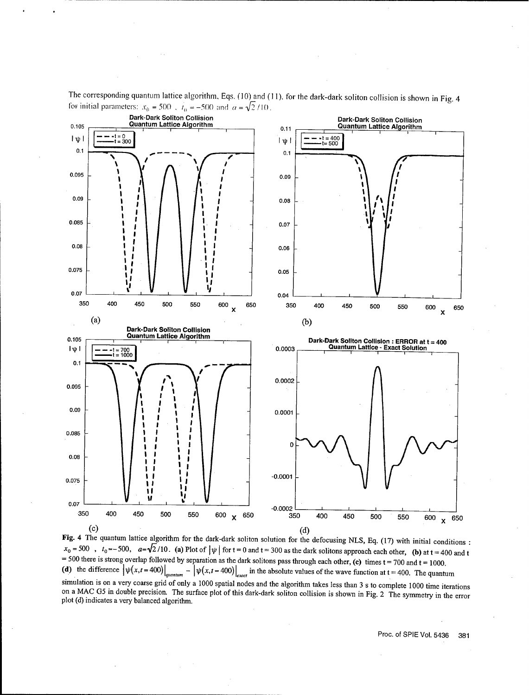

The corresponding quantum lattice algorithm, Eqs. (10) and (I1), for the dark-dark soliton collision is shown in Fig. 4 for initial parameters:  $x_0 = 500$ ,  $t_0 = -500$  and  $a = \sqrt{2}/10$ .

(c)<br>
Fig. 4 The quantum lattice algorithm for the dark-dark soliton solution for the defocusing NLS, Eq. (17) with initial conditions:<br>  $x_0 = 500$ ,  $t_0 = -500$ ,  $a = \sqrt{2}/10$ . (a) Plot of  $|\psi|$  for  $t = 0$  and  $t = 300$  as the (d) the difference  $\left|\psi(x,t=400)\right|_{quantum} - \left|\psi(x,t=400)\right|_{exact}$  in the absolute values of the wave function at t = 400. The quantum simulation is on a very coarse grid of only a 1000 spatial nodes and the algorithm takes less than 3 s to complete 1000 time iterations on a MAC G5 in double precision. The surface plot of this dark-dark soliton collision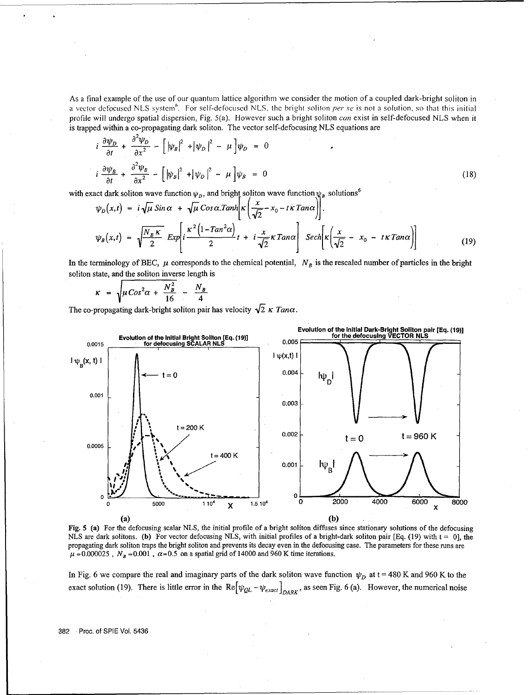As a final example of the use of our quantum lattice algorithm we consider the motion of a coupled dark-bright soliton in a vector defocused NLS system'. For self-defocused NLS, the bright soliton *per se* is not a solution, so that this initial profile will undergo spatial dispersion, Fig. 5(a). However such a bright soliton *can* exist in self-defocused NLS when it is trapped within a co-propagating dark soliton. The vector self-defocusing NLS equations are

$$
i \frac{\partial \psi_D}{\partial t} + \frac{\partial^2 \psi_D}{\partial x^2} - \left[ |\psi_B|^2 + |\psi_D|^2 - \mu \right] \psi_D = 0
$$
  

$$
i \frac{\partial \psi_B}{\partial t} + \frac{\partial^2 \psi_B}{\partial x^2} - \left[ |\psi_B|^2 + |\psi_D|^2 - \mu \right] \psi_B = 0
$$
 (18)

with exact dark soliton wave function  $\psi_D$ , and bright soliton wave function  $\psi_R$  solutions<sup>6</sup>

$$
\frac{\partial t}{\partial t} = \frac{\partial x^2}{\partial t} \left[ \frac{t^{1/2}t^{1/2} + t^{1/2}t^{1/2}}{t^{1/2}} \right]
$$
\nact dark soliton wave function  $\psi_p$ , and bright soliton wave function  $\psi_p$  solutions<sup>6</sup>

\n
$$
\psi_p(x,t) = i \sqrt{\mu} \sin \alpha + \sqrt{\mu} \cos \alpha \cdot \tanh \left[ \kappa \left( \frac{x}{\sqrt{2}} - x_0 - t \kappa \tan \alpha \right) \right],
$$
\n
$$
\psi_p(x,t) = \sqrt{\frac{N_B \kappa}{2}} \exp \left[ i \frac{\kappa^2 \left( 1 - \tan^2 \alpha \right)}{2} t + i \frac{x}{\sqrt{2}} \kappa \tan \alpha \right] \left[ \sec h \left[ \kappa \left( \frac{x}{\sqrt{2}} - x_0 - t \kappa \tan \alpha \right) \right] \right]
$$
\n(19)

In the terminology of BEC,  $\mu$  corresponds to the chemical potential,  $N_B$  is the rescaled number of particles in the bright soliton state, and the soliton inverse length is

$$
\kappa = \sqrt{\mu \cos^2 \alpha + \frac{N_B^2}{16}} - \frac{N_B}{4}
$$

The co-propagating dark-bright soliton pair has velocity  $\sqrt{2} \kappa$  *Tano.* 



Fig. 5 (a) For the defocusing scalar NLS, the initial profile of a bright soliton diffuses since stationary solutions of the defocusing NLS are dark solitons. (b) For vector defocusing NLS, with initial profiles of a bright-dark soliton pair [Eq. (19) with  $t = 0$ ], the propagating dark soliton traps the bright soliton and prevents its decay even in the defocusing case. The parameters for these runs are  $\mu$  = 0.000025, N<sub>B</sub> = 0.001,  $\alpha$  = 0.5 on a spatial grid of 14000 and 960 K time i

In Fig. 6 we compare the real and imaginary parts of the dark soliton wave function  $\psi_D$  at  $t = 480$  K and 960 K to the exact solution (19). There is little error in the  $\text{Re}[\psi_{QL} - \psi_{exact}]_{DARK}$ , as seen Fig. 6 (a). Howeve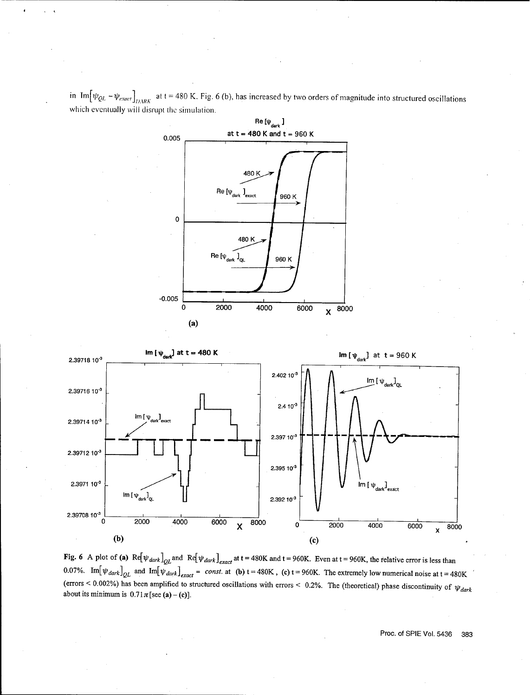in Im $[\psi_{QL} - \psi_{exact}]_{DARK}$  at t = 480 K. Fig. 6 (b), has increased by two orders of magnitude into structured oscillations which eventually will disrupt the simulation.





Fig. 6 A plot of (a)  $Re[\psi_{dark}]_{QL}$  and  $Re[\psi_{dark}]_{exact}$  at t = 480K and t = 960K. Even at t = 960K, the relative error is less than 0.07%. Im $[\psi_{dark}]_{QL}$  and  ${\rm Im}[\psi_{dark}]_{exact}$  = *const.* at **(b)**  $t = 480K$ , **(c)**  $t = 960K$ . The extremely low numerical noise at  $t = 480K$ (errors < 0.002%) has been amplified to structured oscillations with errors < 0.2%. The (theoretical) phase discontinuity of  $\psi_{dark}$ about its minimum is  $0.71 \pi$  [see (a) – (c)].

Proc. of SPIE Vol. 5436 383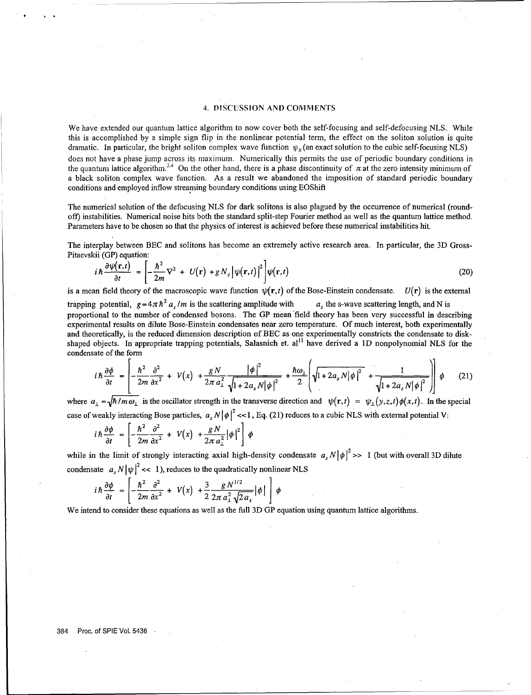#### 4. DISCUSSION AND COMMENTS

We have extended our quantum lattice algorithm to now cover both the self-focusing and self-defocusing NLS. While this is accomplished by a simple sign flip in the nonlinear potential term, the effect on the soliton solution is quite dramatic. In particular, the bright soliton complex wave function  $\psi_B$  (an exact solution to the cubic self-focusing NLS) does not have a phase jump across its maximum. Numerically this permits the use of periodic boundary conditions in the quantum lattice algorithm.<sup>3,4</sup> On the other hand, there is a phase discontinuity of  $\pi$  at the zero intensity minimum of a black soliton complex wave function. As a result we abandoned the imposition of standard periodic boundary conditions and employed inflow streaming boundary conditions using EOShift

The numerical solution of the defocusing NLS for dark solitons is also plagued by the occurrence of numerical (roundoff) instabilities. Numerical noise hits both the standard split-step Fourier method as well as the quantum lattice method. Parameters have to be chosen so that the physics of interest is achieved before these numerical instabilities hit.

The interplay between **BEC** and solitons has become an extremely active research area. In particular, the 3D Gross-Pitaevskii (GP) equation:

$$
i\hbar \frac{\partial \psi(\mathbf{r},t)}{\partial t} = \left[ -\frac{\hbar^2}{2m} \nabla^2 + U(\mathbf{r}) + g N_c \left| \psi(\mathbf{r},t) \right|^2 \right] \psi(\mathbf{r},t)
$$
(20)

is a mean field theory of the macroscopic wave function  $\psi(\mathbf{r},t)$  of the Bose-Einstein condensate.  $U(\mathbf{r})$  is the external trapping potential,  $g=4\pi\hbar^2 a_s/m$  is the scattering amplitude with  $a_s$  the s-wave scattering length, and N is

proportional to the number of condensed bosons. The **GP** mean 'field theory has been very successful in describing experimental results on dilute Bose-Einstein condensates near zero temperature. Of much interest, both experimentally and theoretically, is the reduced dimension description of **BEC** as one experimentally constricts the condensate to diskshaped objects. In appropriate trapping potentials, Salasnich et. al<sup>11</sup> have derived a 1D nonpolynomial NLS for the condensate of the form

$$
i\hbar \frac{\partial \phi}{\partial t} = \left[ -\frac{\hbar^2}{2m} \frac{\partial^2}{\partial x^2} + V(x) + \frac{gN}{2\pi a_\perp^2} \frac{|\phi|^2}{\sqrt{1 + 2a_s N |\phi|^2}} + \frac{\hbar \omega_\perp}{2} \left( \sqrt{1 + 2a_s N |\phi|^2} + \frac{1}{\sqrt{1 + 2a_s N |\phi|^2}} \right) \right] \phi \tag{21}
$$

where  $a_1 = \sqrt{\hbar/m\omega_1}$  is the oscillator strength in the transverse direction and  $\psi(\mathbf{r},t) = \psi_1(y,z,t)\phi(x,t)$ . In the special case of weakly interacting Bose particles,  $a_s N |\phi|^2 \ll 1$ , Eq. (21) reduces to a cubic NLS with external potential V:

$$
i\hbar \frac{\partial \phi}{\partial t} = \left[ -\frac{\hbar^2}{2m} \frac{\partial^2}{\partial x^2} + V(x) + \frac{gN}{2\pi a_\perp^2} |\phi|^2 \right] \phi
$$

while in the limit of strongly interacting axial high-density condensate  $a_s N |\phi|^2 >> 1$  (but with overall 3D dilute

condensate 
$$
a_s N |\psi|^2 \ll 1
$$
), reduces to the quadratically nonlinear NLS  
\n
$$
i \hbar \frac{\partial \phi}{\partial t} = \left[ -\frac{\hbar^2}{2m} \frac{\partial^2}{\partial x^2} + V(x) + \frac{3}{2} \frac{g N^{1/2}}{2\pi a_\perp^2 \sqrt{2} a_s} |\phi| \right] \phi
$$

We intend to consider these equations as well as the full 3D GP equation using quantum lattice algorithms.